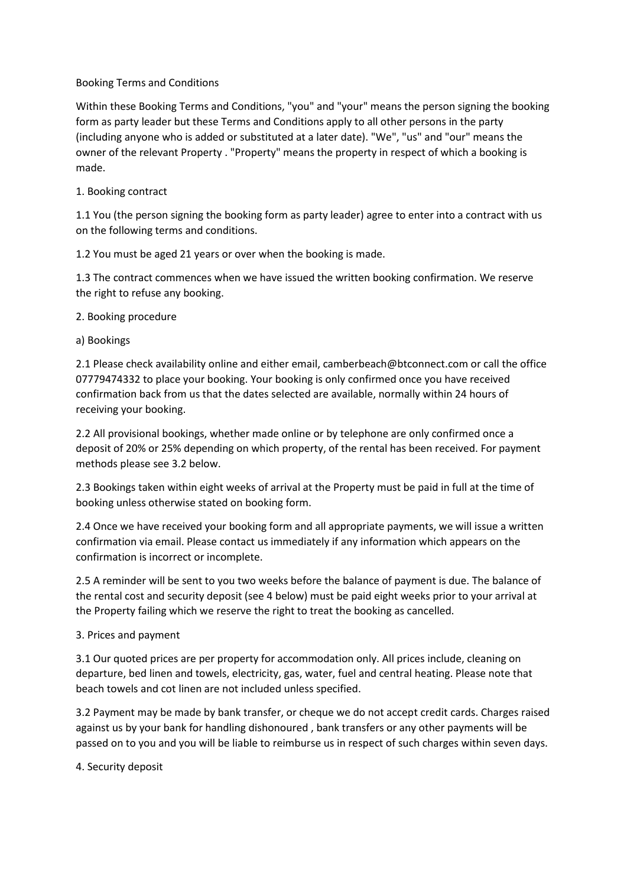## Booking Terms and Conditions

Within these Booking Terms and Conditions, "you" and "your" means the person signing the booking form as party leader but these Terms and Conditions apply to all other persons in the party (including anyone who is added or substituted at a later date). "We", "us" and "our" means the owner of the relevant Property . "Property" means the property in respect of which a booking is made.

# 1. Booking contract

1.1 You (the person signing the booking form as party leader) agree to enter into a contract with us on the following terms and conditions.

1.2 You must be aged 21 years or over when the booking is made.

1.3 The contract commences when we have issued the written booking confirmation. We reserve the right to refuse any booking.

2. Booking procedure

a) Bookings

2.1 Please check availability online and either email, camberbeach@btconnect.com or call the office 07779474332 to place your booking. Your booking is only confirmed once you have received confirmation back from us that the dates selected are available, normally within 24 hours of receiving your booking.

2.2 All provisional bookings, whether made online or by telephone are only confirmed once a deposit of 20% or 25% depending on which property, of the rental has been received. For payment methods please see 3.2 below.

2.3 Bookings taken within eight weeks of arrival at the Property must be paid in full at the time of booking unless otherwise stated on booking form.

2.4 Once we have received your booking form and all appropriate payments, we will issue a written confirmation via email. Please contact us immediately if any information which appears on the confirmation is incorrect or incomplete.

2.5 A reminder will be sent to you two weeks before the balance of payment is due. The balance of the rental cost and security deposit (see 4 below) must be paid eight weeks prior to your arrival at the Property failing which we reserve the right to treat the booking as cancelled.

3. Prices and payment

3.1 Our quoted prices are per property for accommodation only. All prices include, cleaning on departure, bed linen and towels, electricity, gas, water, fuel and central heating. Please note that beach towels and cot linen are not included unless specified.

3.2 Payment may be made by bank transfer, or cheque we do not accept credit cards. Charges raised against us by your bank for handling dishonoured , bank transfers or any other payments will be passed on to you and you will be liable to reimburse us in respect of such charges within seven days.

4. Security deposit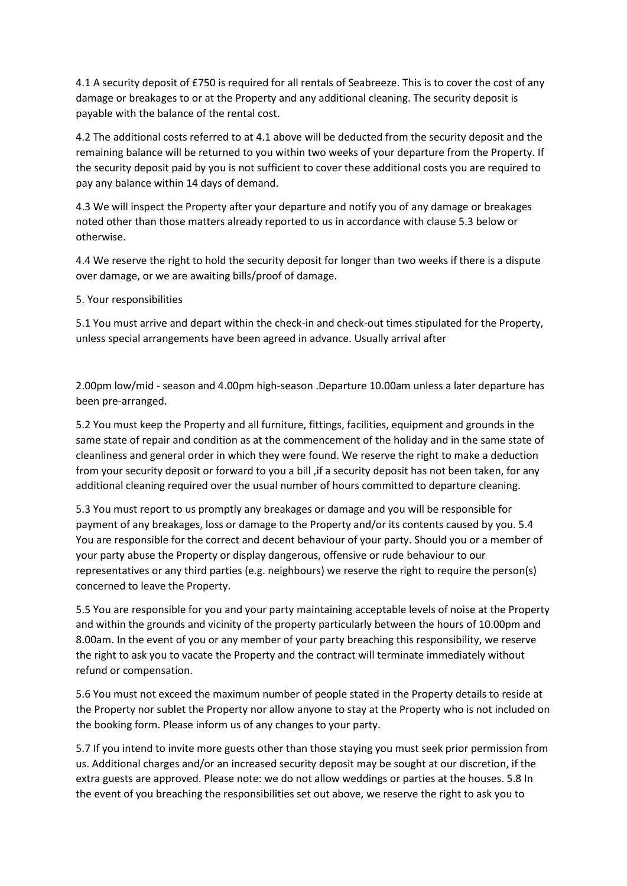4.1 A security deposit of £750 is required for all rentals of Seabreeze. This is to cover the cost of any damage or breakages to or at the Property and any additional cleaning. The security deposit is payable with the balance of the rental cost.

4.2 The additional costs referred to at 4.1 above will be deducted from the security deposit and the remaining balance will be returned to you within two weeks of your departure from the Property. If the security deposit paid by you is not sufficient to cover these additional costs you are required to pay any balance within 14 days of demand.

4.3 We will inspect the Property after your departure and notify you of any damage or breakages noted other than those matters already reported to us in accordance with clause 5.3 below or otherwise.

4.4 We reserve the right to hold the security deposit for longer than two weeks if there is a dispute over damage, or we are awaiting bills/proof of damage.

5. Your responsibilities

5.1 You must arrive and depart within the check-in and check-out times stipulated for the Property, unless special arrangements have been agreed in advance. Usually arrival after

2.00pm low/mid - season and 4.00pm high-season .Departure 10.00am unless a later departure has been pre-arranged.

5.2 You must keep the Property and all furniture, fittings, facilities, equipment and grounds in the same state of repair and condition as at the commencement of the holiday and in the same state of cleanliness and general order in which they were found. We reserve the right to make a deduction from your security deposit or forward to you a bill ,if a security deposit has not been taken, for any additional cleaning required over the usual number of hours committed to departure cleaning.

5.3 You must report to us promptly any breakages or damage and you will be responsible for payment of any breakages, loss or damage to the Property and/or its contents caused by you. 5.4 You are responsible for the correct and decent behaviour of your party. Should you or a member of your party abuse the Property or display dangerous, offensive or rude behaviour to our representatives or any third parties (e.g. neighbours) we reserve the right to require the person(s) concerned to leave the Property.

5.5 You are responsible for you and your party maintaining acceptable levels of noise at the Property and within the grounds and vicinity of the property particularly between the hours of 10.00pm and 8.00am. In the event of you or any member of your party breaching this responsibility, we reserve the right to ask you to vacate the Property and the contract will terminate immediately without refund or compensation.

5.6 You must not exceed the maximum number of people stated in the Property details to reside at the Property nor sublet the Property nor allow anyone to stay at the Property who is not included on the booking form. Please inform us of any changes to your party.

5.7 If you intend to invite more guests other than those staying you must seek prior permission from us. Additional charges and/or an increased security deposit may be sought at our discretion, if the extra guests are approved. Please note: we do not allow weddings or parties at the houses. 5.8 In the event of you breaching the responsibilities set out above, we reserve the right to ask you to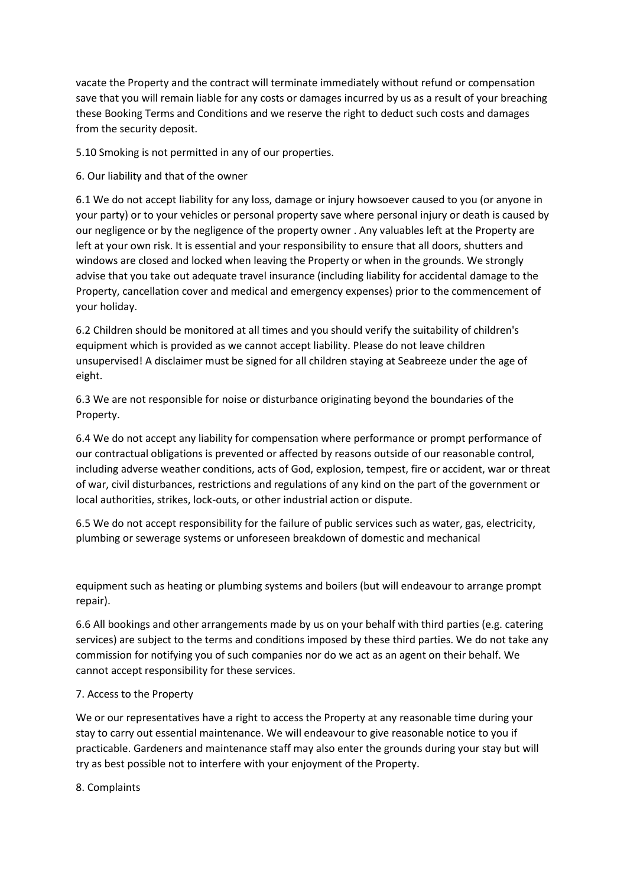vacate the Property and the contract will terminate immediately without refund or compensation save that you will remain liable for any costs or damages incurred by us as a result of your breaching these Booking Terms and Conditions and we reserve the right to deduct such costs and damages from the security deposit.

5.10 Smoking is not permitted in any of our properties.

6. Our liability and that of the owner

6.1 We do not accept liability for any loss, damage or injury howsoever caused to you (or anyone in your party) or to your vehicles or personal property save where personal injury or death is caused by our negligence or by the negligence of the property owner . Any valuables left at the Property are left at your own risk. It is essential and your responsibility to ensure that all doors, shutters and windows are closed and locked when leaving the Property or when in the grounds. We strongly advise that you take out adequate travel insurance (including liability for accidental damage to the Property, cancellation cover and medical and emergency expenses) prior to the commencement of your holiday.

6.2 Children should be monitored at all times and you should verify the suitability of children's equipment which is provided as we cannot accept liability. Please do not leave children unsupervised! A disclaimer must be signed for all children staying at Seabreeze under the age of eight.

6.3 We are not responsible for noise or disturbance originating beyond the boundaries of the Property.

6.4 We do not accept any liability for compensation where performance or prompt performance of our contractual obligations is prevented or affected by reasons outside of our reasonable control, including adverse weather conditions, acts of God, explosion, tempest, fire or accident, war or threat of war, civil disturbances, restrictions and regulations of any kind on the part of the government or local authorities, strikes, lock-outs, or other industrial action or dispute.

6.5 We do not accept responsibility for the failure of public services such as water, gas, electricity, plumbing or sewerage systems or unforeseen breakdown of domestic and mechanical

equipment such as heating or plumbing systems and boilers (but will endeavour to arrange prompt repair).

6.6 All bookings and other arrangements made by us on your behalf with third parties (e.g. catering services) are subject to the terms and conditions imposed by these third parties. We do not take any commission for notifying you of such companies nor do we act as an agent on their behalf. We cannot accept responsibility for these services.

## 7. Access to the Property

We or our representatives have a right to access the Property at any reasonable time during your stay to carry out essential maintenance. We will endeavour to give reasonable notice to you if practicable. Gardeners and maintenance staff may also enter the grounds during your stay but will try as best possible not to interfere with your enjoyment of the Property.

#### 8. Complaints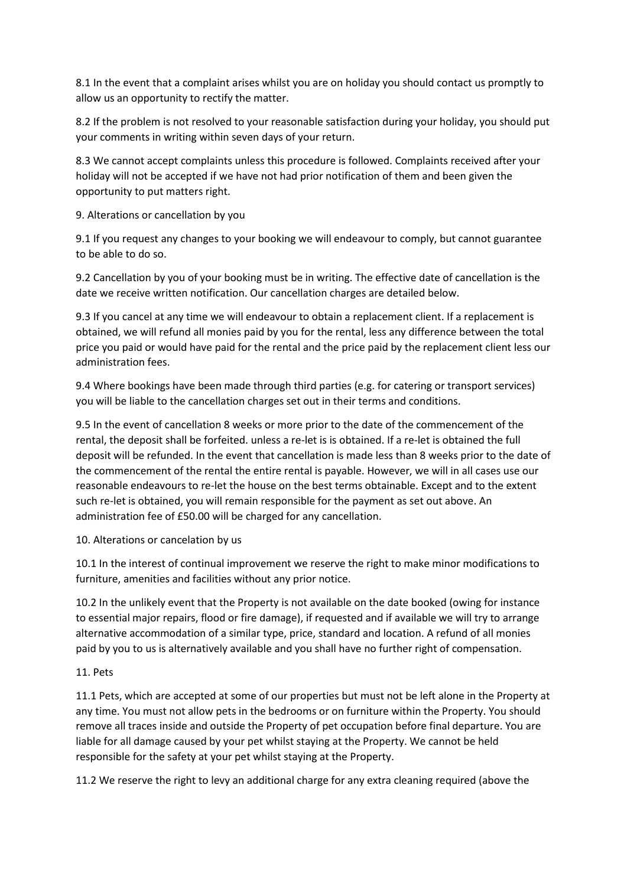8.1 In the event that a complaint arises whilst you are on holiday you should contact us promptly to allow us an opportunity to rectify the matter.

8.2 If the problem is not resolved to your reasonable satisfaction during your holiday, you should put your comments in writing within seven days of your return.

8.3 We cannot accept complaints unless this procedure is followed. Complaints received after your holiday will not be accepted if we have not had prior notification of them and been given the opportunity to put matters right.

9. Alterations or cancellation by you

9.1 If you request any changes to your booking we will endeavour to comply, but cannot guarantee to be able to do so.

9.2 Cancellation by you of your booking must be in writing. The effective date of cancellation is the date we receive written notification. Our cancellation charges are detailed below.

9.3 If you cancel at any time we will endeavour to obtain a replacement client. If a replacement is obtained, we will refund all monies paid by you for the rental, less any difference between the total price you paid or would have paid for the rental and the price paid by the replacement client less our administration fees.

9.4 Where bookings have been made through third parties (e.g. for catering or transport services) you will be liable to the cancellation charges set out in their terms and conditions.

9.5 In the event of cancellation 8 weeks or more prior to the date of the commencement of the rental, the deposit shall be forfeited. unless a re-let is is obtained. If a re-let is obtained the full deposit will be refunded. In the event that cancellation is made less than 8 weeks prior to the date of the commencement of the rental the entire rental is payable. However, we will in all cases use our reasonable endeavours to re-let the house on the best terms obtainable. Except and to the extent such re-let is obtained, you will remain responsible for the payment as set out above. An administration fee of £50.00 will be charged for any cancellation.

#### 10. Alterations or cancelation by us

10.1 In the interest of continual improvement we reserve the right to make minor modifications to furniture, amenities and facilities without any prior notice.

10.2 In the unlikely event that the Property is not available on the date booked (owing for instance to essential major repairs, flood or fire damage), if requested and if available we will try to arrange alternative accommodation of a similar type, price, standard and location. A refund of all monies paid by you to us is alternatively available and you shall have no further right of compensation.

## 11. Pets

11.1 Pets, which are accepted at some of our properties but must not be left alone in the Property at any time. You must not allow pets in the bedrooms or on furniture within the Property. You should remove all traces inside and outside the Property of pet occupation before final departure. You are liable for all damage caused by your pet whilst staying at the Property. We cannot be held responsible for the safety at your pet whilst staying at the Property.

11.2 We reserve the right to levy an additional charge for any extra cleaning required (above the